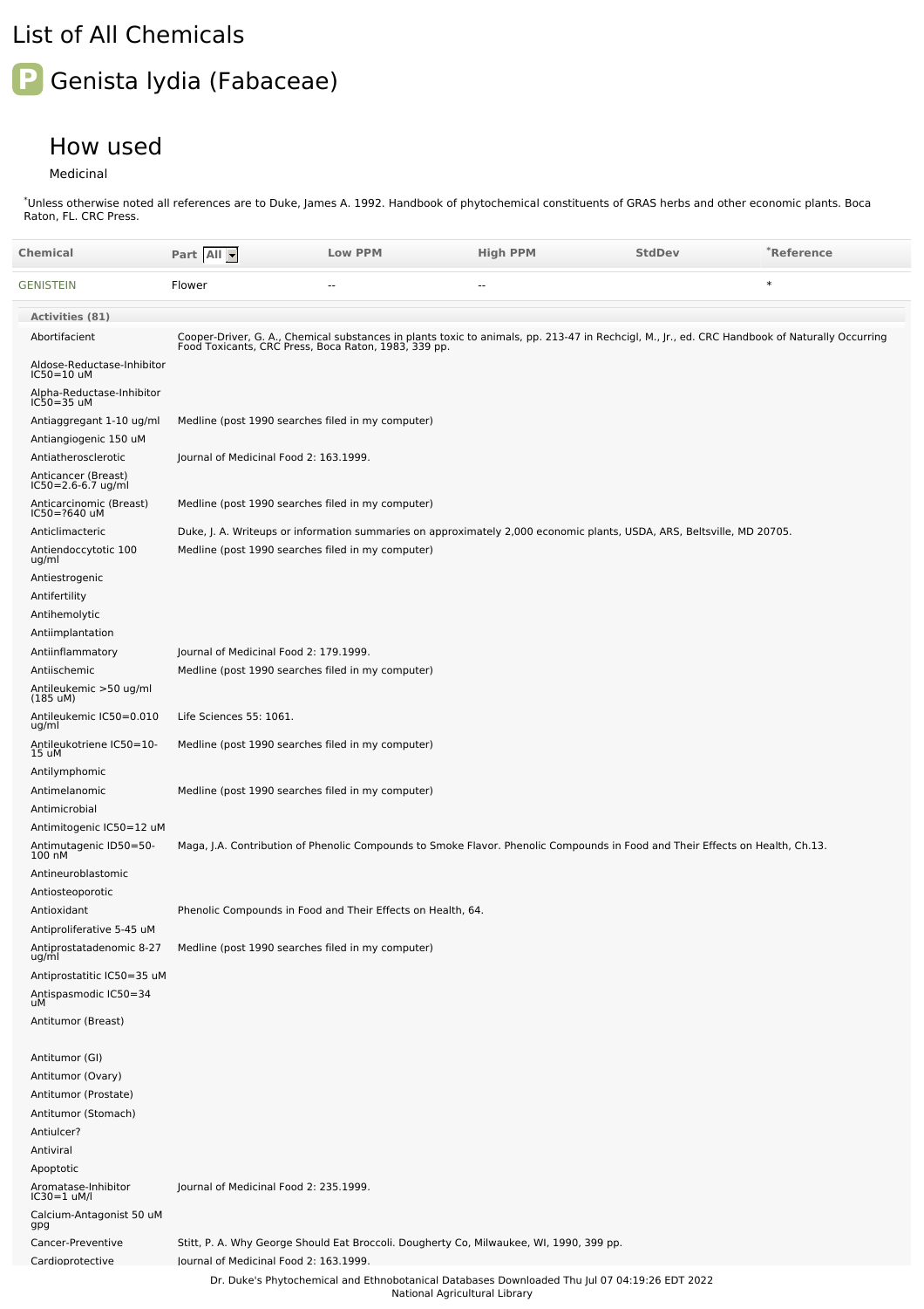## List of All Chemicals

## **P** Genista lydia (Fabaceae)

## How used

Medicinal

Unless otherwise noted all references are to Duke, James A. 1992. Handbook of phytochemical constituents of GRAS herbs and other economic plants. Boca Raton, FL. CRC Press. \*

| Chemical                                          | Part All                                          | <b>Low PPM</b>                                              | <b>High PPM</b>                                                                                                                                                                                        | <b>StdDev</b> | *Reference |  |
|---------------------------------------------------|---------------------------------------------------|-------------------------------------------------------------|--------------------------------------------------------------------------------------------------------------------------------------------------------------------------------------------------------|---------------|------------|--|
| GENISTEIN                                         | Flower                                            | ٠.                                                          | ٠.                                                                                                                                                                                                     |               | $\ast$     |  |
| <b>Activities (81)</b>                            |                                                   |                                                             |                                                                                                                                                                                                        |               |            |  |
| Abortifacient                                     |                                                   |                                                             | Cooper-Driver, G. A., Chemical substances in plants toxic to animals, pp. 213-47 in Rechcigl, M., Jr., ed. CRC Handbook of Naturally Occurring<br>Food Toxicants, CRC Press, Boca Raton, 1983, 339 pp. |               |            |  |
| Aldose-Reductase-Inhibitor<br>IC50=10 uM          |                                                   |                                                             |                                                                                                                                                                                                        |               |            |  |
| Alpha-Reductase-Inhibitor<br>IC50=35 uM           |                                                   |                                                             |                                                                                                                                                                                                        |               |            |  |
| Antiaggregant 1-10 ug/ml<br>Antiangiogenic 150 uM | Medline (post 1990 searches filed in my computer) |                                                             |                                                                                                                                                                                                        |               |            |  |
| Antiatherosclerotic                               | Journal of Medicinal Food 2: 163.1999.            |                                                             |                                                                                                                                                                                                        |               |            |  |
| Anticancer (Breast)<br>IC50=2.6-6.7 ug/ml         |                                                   |                                                             |                                                                                                                                                                                                        |               |            |  |
| Anticarcinomic (Breast)<br>IC50=?640 uM           | Medline (post 1990 searches filed in my computer) |                                                             |                                                                                                                                                                                                        |               |            |  |
| Anticlimacteric                                   |                                                   |                                                             | Duke, J. A. Writeups or information summaries on approximately 2,000 economic plants, USDA, ARS, Beltsville, MD 20705.                                                                                 |               |            |  |
| Antiendoccytotic 100<br>ug/ml                     | Medline (post 1990 searches filed in my computer) |                                                             |                                                                                                                                                                                                        |               |            |  |
| Antiestrogenic                                    |                                                   |                                                             |                                                                                                                                                                                                        |               |            |  |
| Antifertility                                     |                                                   |                                                             |                                                                                                                                                                                                        |               |            |  |
| Antihemolytic<br>Antiimplantation                 |                                                   |                                                             |                                                                                                                                                                                                        |               |            |  |
| Antiinflammatory                                  |                                                   | Journal of Medicinal Food 2: 179.1999.                      |                                                                                                                                                                                                        |               |            |  |
| Antiischemic                                      | Medline (post 1990 searches filed in my computer) |                                                             |                                                                                                                                                                                                        |               |            |  |
| Antileukemic >50 ug/ml<br>$(185 \text{ uM})$      |                                                   |                                                             |                                                                                                                                                                                                        |               |            |  |
| Antileukemic IC50=0.010<br>ug/ml                  | Life Sciences 55: 1061.                           |                                                             |                                                                                                                                                                                                        |               |            |  |
| Antileukotriene IC50=10-<br>15 uM                 | Medline (post 1990 searches filed in my computer) |                                                             |                                                                                                                                                                                                        |               |            |  |
| Antilymphomic                                     |                                                   |                                                             |                                                                                                                                                                                                        |               |            |  |
| Antimelanomic<br>Antimicrobial                    | Medline (post 1990 searches filed in my computer) |                                                             |                                                                                                                                                                                                        |               |            |  |
| Antimitogenic IC50=12 uM                          |                                                   |                                                             |                                                                                                                                                                                                        |               |            |  |
| Antimutagenic ID50=50-<br>100 nM                  |                                                   |                                                             | Maga, J.A. Contribution of Phenolic Compounds to Smoke Flavor. Phenolic Compounds in Food and Their Effects on Health, Ch.13.                                                                          |               |            |  |
| Antineuroblastomic                                |                                                   |                                                             |                                                                                                                                                                                                        |               |            |  |
| Antiosteoporotic                                  |                                                   |                                                             |                                                                                                                                                                                                        |               |            |  |
| Antioxidant<br>Antiproliferative 5-45 uM          |                                                   | Phenolic Compounds in Food and Their Effects on Health, 64. |                                                                                                                                                                                                        |               |            |  |
| Antiprostatadenomic 8-27<br>ug/ml                 | Medline (post 1990 searches filed in my computer) |                                                             |                                                                                                                                                                                                        |               |            |  |
| Antiprostatitic IC50=35 uM                        |                                                   |                                                             |                                                                                                                                                                                                        |               |            |  |
| Antispasmodic IC50=34<br>uМ                       |                                                   |                                                             |                                                                                                                                                                                                        |               |            |  |
| Antitumor (Breast)                                |                                                   |                                                             |                                                                                                                                                                                                        |               |            |  |
| Antitumor (GI)                                    |                                                   |                                                             |                                                                                                                                                                                                        |               |            |  |
| Antitumor (Ovary)                                 |                                                   |                                                             |                                                                                                                                                                                                        |               |            |  |
| Antitumor (Prostate)                              |                                                   |                                                             |                                                                                                                                                                                                        |               |            |  |
| Antitumor (Stomach)                               |                                                   |                                                             |                                                                                                                                                                                                        |               |            |  |
| Antiulcer?<br>Antiviral                           |                                                   |                                                             |                                                                                                                                                                                                        |               |            |  |
| Apoptotic                                         |                                                   |                                                             |                                                                                                                                                                                                        |               |            |  |
| Aromatase-Inhibitor<br>IC30=1 uM/l                | Journal of Medicinal Food 2: 235.1999.            |                                                             |                                                                                                                                                                                                        |               |            |  |
| Calcium-Antagonist 50 uM<br>gpg                   |                                                   |                                                             |                                                                                                                                                                                                        |               |            |  |
| Cancer-Preventive                                 |                                                   |                                                             | Stitt, P. A. Why George Should Eat Broccoli. Dougherty Co, Milwaukee, WI, 1990, 399 pp.                                                                                                                |               |            |  |
| Cardioprotective                                  | lournal of Medicinal Food 2: 163.1999.            |                                                             | Dr. Duke's Phytochemical and Ethnobotanical Databases Downloaded Thu Jul 07 04:19:26 EDT 2022                                                                                                          |               |            |  |
|                                                   |                                                   | National Agricultural Library                               |                                                                                                                                                                                                        |               |            |  |